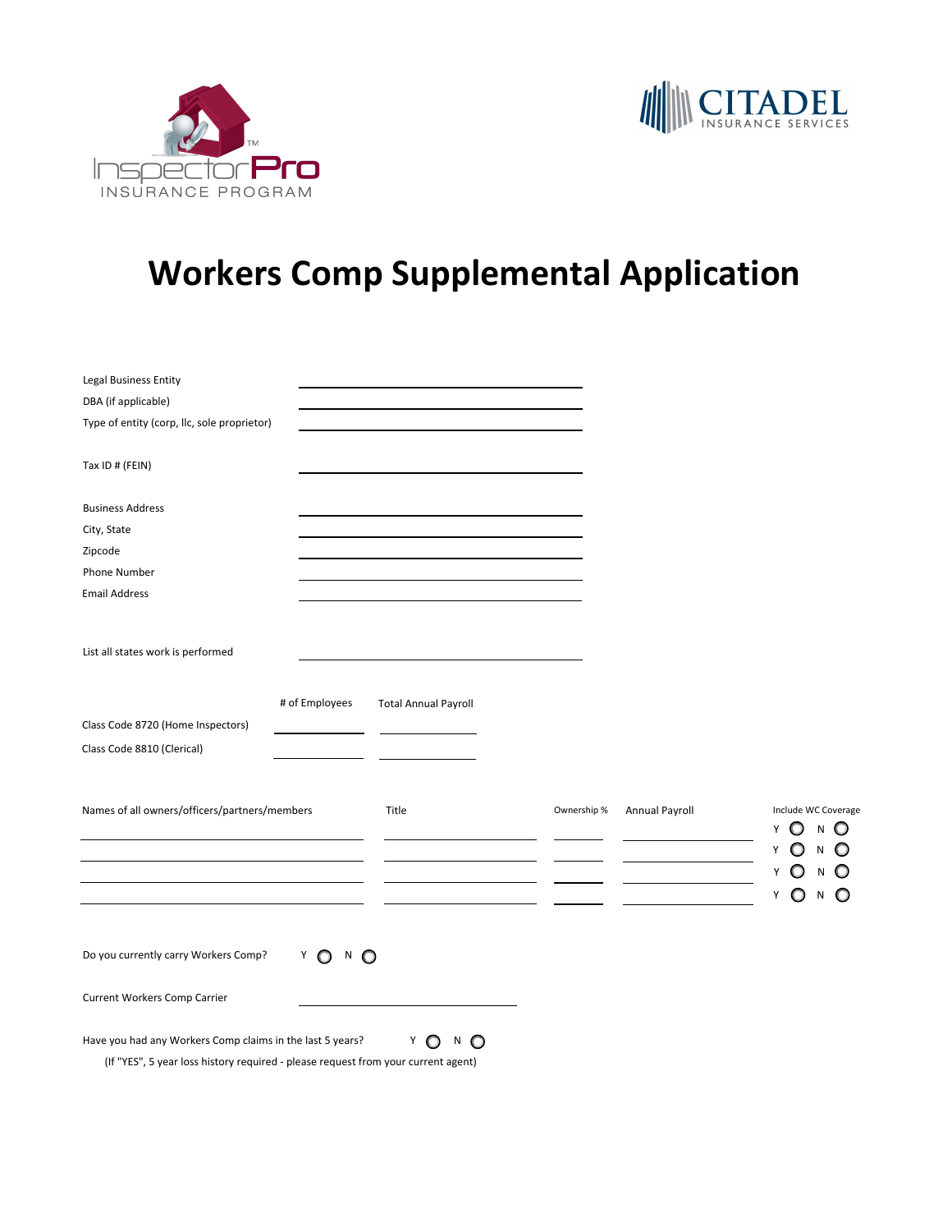



## **Workers Comp Supplemental Application**

| <b>Legal Business Entity</b><br>DBA (if applicable)<br>Type of entity (corp, llc, sole proprietor)                                             |                               |                             |             |                |                                         |
|------------------------------------------------------------------------------------------------------------------------------------------------|-------------------------------|-----------------------------|-------------|----------------|-----------------------------------------|
| Tax ID # (FEIN)                                                                                                                                |                               |                             |             |                |                                         |
| <b>Business Address</b>                                                                                                                        |                               |                             |             |                |                                         |
| City, State                                                                                                                                    |                               |                             |             |                |                                         |
| Zipcode                                                                                                                                        |                               |                             |             |                |                                         |
| Phone Number                                                                                                                                   |                               |                             |             |                |                                         |
| <b>Email Address</b>                                                                                                                           |                               |                             |             |                |                                         |
| List all states work is performed                                                                                                              | # of Employees                | <b>Total Annual Payroll</b> |             |                |                                         |
| Class Code 8720 (Home Inspectors)                                                                                                              |                               |                             |             |                |                                         |
| Class Code 8810 (Clerical)                                                                                                                     |                               |                             |             |                |                                         |
|                                                                                                                                                |                               |                             |             |                |                                         |
| Names of all owners/officers/partners/members                                                                                                  |                               | Title                       | Ownership % | Annual Payroll | Include WC Coverage<br>N<br>O<br>Y<br>O |
|                                                                                                                                                |                               |                             |             |                | O<br>$\circ$<br>N<br>Y<br>Y<br>N        |
|                                                                                                                                                |                               |                             |             |                | Y<br>N                                  |
|                                                                                                                                                |                               |                             |             |                |                                         |
| Do you currently carry Workers Comp?                                                                                                           | $N$ $\bullet$<br>Y<br>$\circ$ |                             |             |                |                                         |
| Current Workers Comp Carrier                                                                                                                   |                               |                             |             |                |                                         |
| Have you had any Workers Comp claims in the last 5 years?<br>(If "YES", 5 year loss history required - please request from your current agent) |                               | Y<br>N<br>$\circ$<br>O      |             |                |                                         |